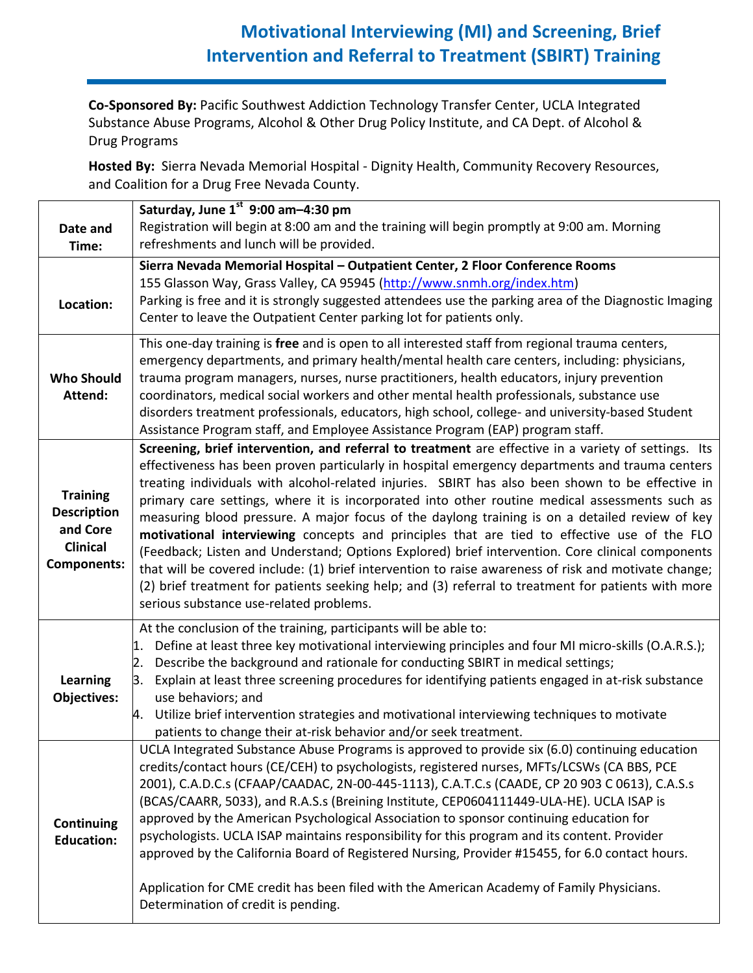## **Motivational Interviewing (MI) and Screening, Brief Intervention and Referral to Treatment (SBIRT) Training**

**Co-Sponsored By:** Pacific Southwest Addiction Technology Transfer Center, UCLA Integrated Substance Abuse Programs, Alcohol & Other Drug Policy Institute, and CA Dept. of Alcohol & Drug Programs

**Hosted By:** Sierra Nevada Memorial Hospital - Dignity Health, Community Recovery Resources, and Coalition for a Drug Free Nevada County.

| Date and<br>Time:                                                                          | Saturday, June 1 <sup>st</sup> 9:00 am-4:30 pm<br>Registration will begin at 8:00 am and the training will begin promptly at 9:00 am. Morning<br>refreshments and lunch will be provided.                                                                                                                                                                                                                                                                                                                                                                                                                                                                                                                                                                                                                                                                                                                                                                                    |
|--------------------------------------------------------------------------------------------|------------------------------------------------------------------------------------------------------------------------------------------------------------------------------------------------------------------------------------------------------------------------------------------------------------------------------------------------------------------------------------------------------------------------------------------------------------------------------------------------------------------------------------------------------------------------------------------------------------------------------------------------------------------------------------------------------------------------------------------------------------------------------------------------------------------------------------------------------------------------------------------------------------------------------------------------------------------------------|
| Location:                                                                                  | Sierra Nevada Memorial Hospital - Outpatient Center, 2 Floor Conference Rooms<br>155 Glasson Way, Grass Valley, CA 95945 (http://www.snmh.org/index.htm)<br>Parking is free and it is strongly suggested attendees use the parking area of the Diagnostic Imaging<br>Center to leave the Outpatient Center parking lot for patients only.                                                                                                                                                                                                                                                                                                                                                                                                                                                                                                                                                                                                                                    |
| <b>Who Should</b><br>Attend:                                                               | This one-day training is free and is open to all interested staff from regional trauma centers,<br>emergency departments, and primary health/mental health care centers, including: physicians,<br>trauma program managers, nurses, nurse practitioners, health educators, injury prevention<br>coordinators, medical social workers and other mental health professionals, substance use<br>disorders treatment professionals, educators, high school, college- and university-based Student<br>Assistance Program staff, and Employee Assistance Program (EAP) program staff.                                                                                                                                                                                                                                                                                                                                                                                              |
| <b>Training</b><br><b>Description</b><br>and Core<br><b>Clinical</b><br><b>Components:</b> | Screening, brief intervention, and referral to treatment are effective in a variety of settings. Its<br>effectiveness has been proven particularly in hospital emergency departments and trauma centers<br>treating individuals with alcohol-related injuries. SBIRT has also been shown to be effective in<br>primary care settings, where it is incorporated into other routine medical assessments such as<br>measuring blood pressure. A major focus of the daylong training is on a detailed review of key<br>motivational interviewing concepts and principles that are tied to effective use of the FLO<br>(Feedback; Listen and Understand; Options Explored) brief intervention. Core clinical components<br>that will be covered include: (1) brief intervention to raise awareness of risk and motivate change;<br>(2) brief treatment for patients seeking help; and (3) referral to treatment for patients with more<br>serious substance use-related problems. |
| <b>Learning</b><br>Objectives:                                                             | At the conclusion of the training, participants will be able to:<br>1. Define at least three key motivational interviewing principles and four MI micro-skills (O.A.R.S.);<br>2. Describe the background and rationale for conducting SBIRT in medical settings;<br>3. Explain at least three screening procedures for identifying patients engaged in at-risk substance<br>use behaviors; and<br>4. Utilize brief intervention strategies and motivational interviewing techniques to motivate<br>patients to change their at-risk behavior and/or seek treatment.                                                                                                                                                                                                                                                                                                                                                                                                          |
| <b>Continuing</b><br><b>Education:</b>                                                     | UCLA Integrated Substance Abuse Programs is approved to provide six (6.0) continuing education<br>credits/contact hours (CE/CEH) to psychologists, registered nurses, MFTs/LCSWs (CA BBS, PCE<br>2001), C.A.D.C.s (CFAAP/CAADAC, 2N-00-445-1113), C.A.T.C.s (CAADE, CP 20 903 C 0613), C.A.S.s<br>(BCAS/CAARR, 5033), and R.A.S.s (Breining Institute, CEP0604111449-ULA-HE). UCLA ISAP is<br>approved by the American Psychological Association to sponsor continuing education for<br>psychologists. UCLA ISAP maintains responsibility for this program and its content. Provider<br>approved by the California Board of Registered Nursing, Provider #15455, for 6.0 contact hours.<br>Application for CME credit has been filed with the American Academy of Family Physicians.<br>Determination of credit is pending.                                                                                                                                                  |